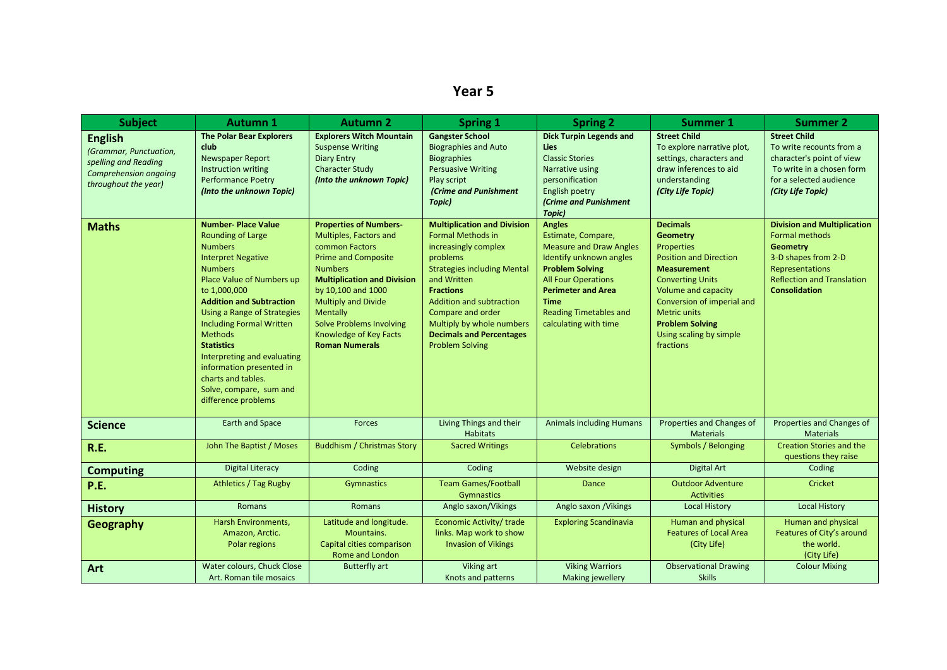## **Year 5**

| <b>Subject</b>                                                                                                           | <b>Autumn 1</b>                                                                                                                                                                                                                                                                                                                                                                                                                                           | <b>Autumn 2</b>                                                                                                                                                                                                                                                                                                | <b>Spring 1</b>                                                                                                                                                                                                                                                                                                        | <b>Spring 2</b>                                                                                                                                                                                                                                                | <b>Summer 1</b>                                                                                                                                                                                                                                                                         | <b>Summer 2</b>                                                                                                                                                                |
|--------------------------------------------------------------------------------------------------------------------------|-----------------------------------------------------------------------------------------------------------------------------------------------------------------------------------------------------------------------------------------------------------------------------------------------------------------------------------------------------------------------------------------------------------------------------------------------------------|----------------------------------------------------------------------------------------------------------------------------------------------------------------------------------------------------------------------------------------------------------------------------------------------------------------|------------------------------------------------------------------------------------------------------------------------------------------------------------------------------------------------------------------------------------------------------------------------------------------------------------------------|----------------------------------------------------------------------------------------------------------------------------------------------------------------------------------------------------------------------------------------------------------------|-----------------------------------------------------------------------------------------------------------------------------------------------------------------------------------------------------------------------------------------------------------------------------------------|--------------------------------------------------------------------------------------------------------------------------------------------------------------------------------|
| <b>English</b><br>(Grammar, Punctuation,<br>spelling and Reading<br><b>Comprehension ongoing</b><br>throughout the year) | <b>The Polar Bear Explorers</b><br>club<br>Newspaper Report<br>Instruction writing<br><b>Performance Poetry</b><br>(Into the unknown Topic)                                                                                                                                                                                                                                                                                                               | <b>Explorers Witch Mountain</b><br><b>Suspense Writing</b><br><b>Diary Entry</b><br><b>Character Study</b><br>(Into the unknown Topic)                                                                                                                                                                         | <b>Gangster School</b><br><b>Biographies and Auto</b><br><b>Biographies</b><br><b>Persuasive Writing</b><br>Play script<br>(Crime and Punishment<br>Topic)                                                                                                                                                             | <b>Dick Turpin Legends and</b><br>Lies<br><b>Classic Stories</b><br><b>Narrative using</b><br>personification<br>English poetry<br><b>(Crime and Punishment</b><br>Topic)                                                                                      | <b>Street Child</b><br>To explore narrative plot,<br>settings, characters and<br>draw inferences to aid<br>understanding<br>(City Life Topic)                                                                                                                                           | <b>Street Child</b><br>To write recounts from a<br>character's point of view<br>To write in a chosen form<br>for a selected audience<br>(City Life Topic)                      |
| <b>Maths</b>                                                                                                             | <b>Number-Place Value</b><br><b>Rounding of Large</b><br><b>Numbers</b><br><b>Interpret Negative</b><br><b>Numbers</b><br>Place Value of Numbers up<br>to 1,000,000<br><b>Addition and Subtraction</b><br><b>Using a Range of Strategies</b><br><b>Including Formal Written</b><br><b>Methods</b><br><b>Statistics</b><br>Interpreting and evaluating<br>information presented in<br>charts and tables.<br>Solve, compare, sum and<br>difference problems | <b>Properties of Numbers-</b><br>Multiples, Factors and<br>common Factors<br><b>Prime and Composite</b><br><b>Numbers</b><br><b>Multiplication and Division</b><br>by 10,100 and 1000<br>Multiply and Divide<br>Mentally<br><b>Solve Problems Involving</b><br>Knowledge of Key Facts<br><b>Roman Numerals</b> | <b>Multiplication and Division</b><br><b>Formal Methods in</b><br>increasingly complex<br>problems<br><b>Strategies including Mental</b><br>and Written<br><b>Fractions</b><br>Addition and subtraction<br>Compare and order<br>Multiply by whole numbers<br><b>Decimals and Percentages</b><br><b>Problem Solving</b> | <b>Angles</b><br>Estimate, Compare,<br><b>Measure and Draw Angles</b><br>Identify unknown angles<br><b>Problem Solving</b><br><b>All Four Operations</b><br><b>Perimeter and Area</b><br><b>Time</b><br><b>Reading Timetables and</b><br>calculating with time | <b>Decimals</b><br><b>Geometry</b><br><b>Properties</b><br><b>Position and Direction</b><br><b>Measurement</b><br><b>Converting Units</b><br>Volume and capacity<br>Conversion of imperial and<br><b>Metric units</b><br><b>Problem Solving</b><br>Using scaling by simple<br>fractions | <b>Division and Multiplication</b><br>Formal methods<br><b>Geometry</b><br>3-D shapes from 2-D<br>Representations<br><b>Reflection and Translation</b><br><b>Consolidation</b> |
| <b>Science</b>                                                                                                           | <b>Earth and Space</b>                                                                                                                                                                                                                                                                                                                                                                                                                                    | <b>Forces</b>                                                                                                                                                                                                                                                                                                  | Living Things and their<br><b>Habitats</b>                                                                                                                                                                                                                                                                             | <b>Animals including Humans</b>                                                                                                                                                                                                                                | Properties and Changes of<br><b>Materials</b>                                                                                                                                                                                                                                           | Properties and Changes of<br><b>Materials</b>                                                                                                                                  |
| R.E.                                                                                                                     | John The Baptist / Moses                                                                                                                                                                                                                                                                                                                                                                                                                                  | <b>Buddhism / Christmas Story</b>                                                                                                                                                                                                                                                                              | <b>Sacred Writings</b>                                                                                                                                                                                                                                                                                                 | <b>Celebrations</b>                                                                                                                                                                                                                                            | Symbols / Belonging                                                                                                                                                                                                                                                                     | <b>Creation Stories and the</b><br>questions they raise                                                                                                                        |
| <b>Computing</b>                                                                                                         | <b>Digital Literacy</b>                                                                                                                                                                                                                                                                                                                                                                                                                                   | Coding                                                                                                                                                                                                                                                                                                         | Coding                                                                                                                                                                                                                                                                                                                 | Website design                                                                                                                                                                                                                                                 | <b>Digital Art</b>                                                                                                                                                                                                                                                                      | Coding                                                                                                                                                                         |
| P.E.                                                                                                                     | <b>Athletics / Tag Rugby</b>                                                                                                                                                                                                                                                                                                                                                                                                                              | <b>Gymnastics</b>                                                                                                                                                                                                                                                                                              | <b>Team Games/Football</b><br>Gymnastics                                                                                                                                                                                                                                                                               | Dance                                                                                                                                                                                                                                                          | <b>Outdoor Adventure</b><br><b>Activities</b>                                                                                                                                                                                                                                           | Cricket                                                                                                                                                                        |
| <b>History</b>                                                                                                           | <b>Romans</b>                                                                                                                                                                                                                                                                                                                                                                                                                                             | <b>Romans</b>                                                                                                                                                                                                                                                                                                  | Anglo saxon/Vikings                                                                                                                                                                                                                                                                                                    | Anglo saxon / Vikings                                                                                                                                                                                                                                          | <b>Local History</b>                                                                                                                                                                                                                                                                    | <b>Local History</b>                                                                                                                                                           |
| Geography                                                                                                                | Harsh Environments,<br>Amazon, Arctic.<br>Polar regions                                                                                                                                                                                                                                                                                                                                                                                                   | Latitude and longitude.<br>Mountains.<br>Capital cities comparison<br>Rome and London                                                                                                                                                                                                                          | Economic Activity/ trade<br>links. Map work to show<br><b>Invasion of Vikings</b>                                                                                                                                                                                                                                      | <b>Exploring Scandinavia</b>                                                                                                                                                                                                                                   | Human and physical<br><b>Features of Local Area</b><br>(City Life)                                                                                                                                                                                                                      | Human and physical<br>Features of City's around<br>the world.<br>(City Life)                                                                                                   |
| Art                                                                                                                      | Water colours, Chuck Close<br>Art. Roman tile mosaics                                                                                                                                                                                                                                                                                                                                                                                                     | <b>Butterfly art</b>                                                                                                                                                                                                                                                                                           | Viking art<br>Knots and patterns                                                                                                                                                                                                                                                                                       | <b>Viking Warriors</b><br>Making jewellery                                                                                                                                                                                                                     | <b>Observational Drawing</b><br><b>Skills</b>                                                                                                                                                                                                                                           | <b>Colour Mixing</b>                                                                                                                                                           |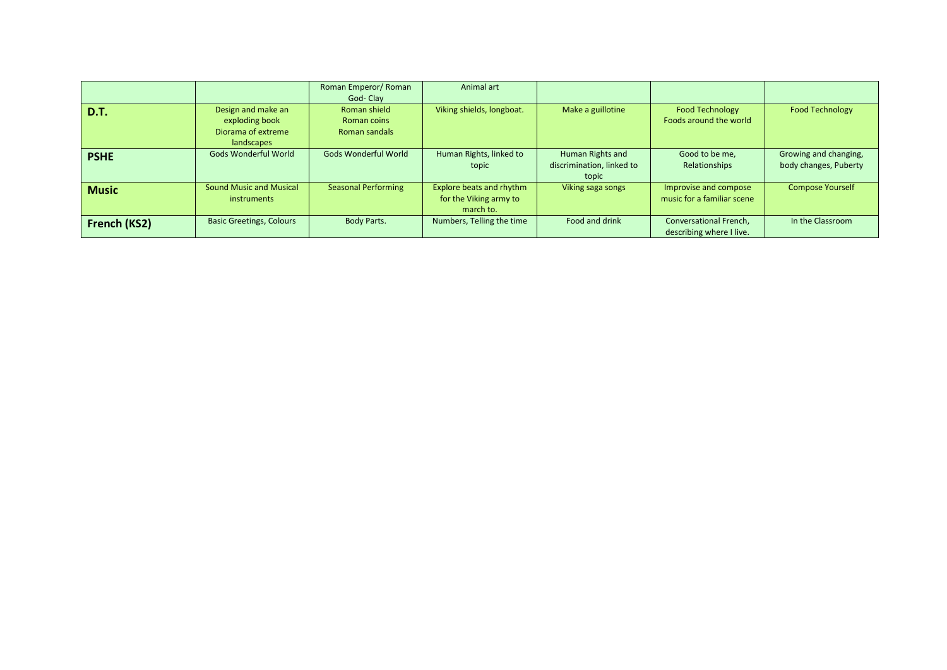|              |                                 | Roman Emperor/ Roman       | Animal art                |                           |                            |                         |
|--------------|---------------------------------|----------------------------|---------------------------|---------------------------|----------------------------|-------------------------|
|              |                                 | God-Clay                   |                           |                           |                            |                         |
| D.T.         | Design and make an              | Roman shield               | Viking shields, longboat. | Make a guillotine         | <b>Food Technology</b>     | <b>Food Technology</b>  |
|              | exploding book                  | Roman coins                |                           |                           | Foods around the world     |                         |
|              | Diorama of extreme              | Roman sandals              |                           |                           |                            |                         |
|              | landscapes                      |                            |                           |                           |                            |                         |
| <b>PSHE</b>  | Gods Wonderful World            | Gods Wonderful World       | Human Rights, linked to   | Human Rights and          | Good to be me,             | Growing and changing,   |
|              |                                 |                            | topic                     | discrimination, linked to | Relationships              | body changes, Puberty   |
|              |                                 |                            |                           | topic                     |                            |                         |
| <b>Music</b> | <b>Sound Music and Musical</b>  | <b>Seasonal Performing</b> | Explore beats and rhythm  | Viking saga songs         | Improvise and compose      | <b>Compose Yourself</b> |
|              | instruments                     |                            | for the Viking army to    |                           | music for a familiar scene |                         |
|              |                                 |                            | march to.                 |                           |                            |                         |
| French (KS2) | <b>Basic Greetings, Colours</b> | Body Parts.                | Numbers, Telling the time | Food and drink            | Conversational French,     | In the Classroom        |
|              |                                 |                            |                           |                           | describing where I live.   |                         |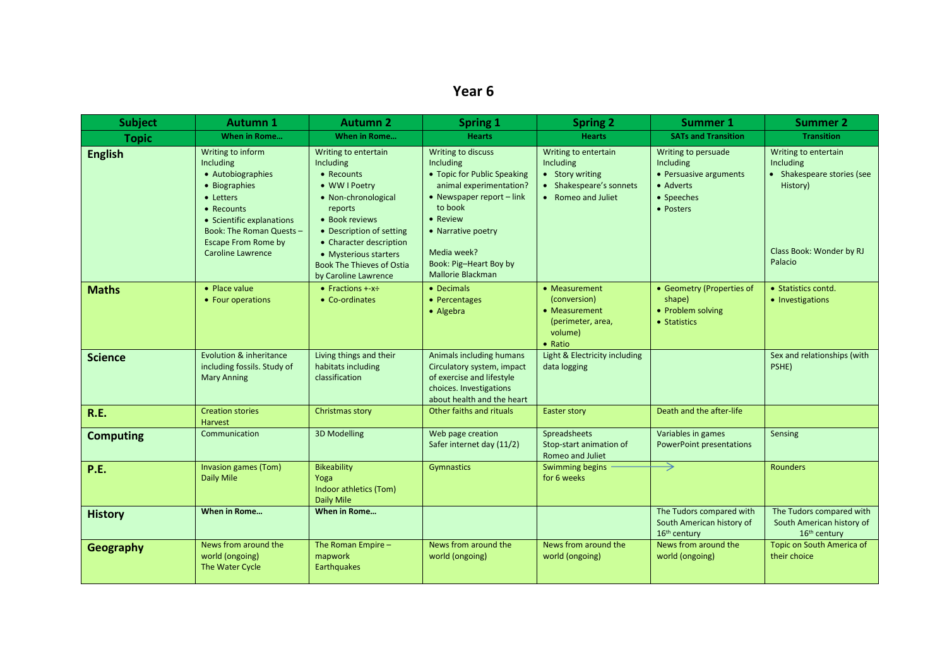## **Year 6**

| <b>Subject</b>   | <b>Autumn 1</b>                                                                                                                                                                                                    | <b>Autumn 2</b>                                                                                                                                                                                                                                                  | <b>Spring 1</b>                                                                                                                                                                                                                   | <b>Spring 2</b>                                                                                       | <b>Summer 1</b>                                                                                    | <b>Summer 2</b>                                                                                                    |
|------------------|--------------------------------------------------------------------------------------------------------------------------------------------------------------------------------------------------------------------|------------------------------------------------------------------------------------------------------------------------------------------------------------------------------------------------------------------------------------------------------------------|-----------------------------------------------------------------------------------------------------------------------------------------------------------------------------------------------------------------------------------|-------------------------------------------------------------------------------------------------------|----------------------------------------------------------------------------------------------------|--------------------------------------------------------------------------------------------------------------------|
| <b>Topic</b>     | When in Rome                                                                                                                                                                                                       | When in Rome                                                                                                                                                                                                                                                     | <b>Hearts</b>                                                                                                                                                                                                                     | <b>Hearts</b>                                                                                         | <b>SATs and Transition</b>                                                                         | <b>Transition</b>                                                                                                  |
| <b>English</b>   | Writing to inform<br>Including<br>• Autobiographies<br>• Biographies<br>• Letters<br>• Recounts<br>• Scientific explanations<br>Book: The Roman Quests -<br><b>Escape From Rome by</b><br><b>Caroline Lawrence</b> | Writing to entertain<br>Including<br>• Recounts<br>• WW I Poetry<br>• Non-chronological<br>reports<br>• Book reviews<br>• Description of setting<br>• Character description<br>• Mysterious starters<br><b>Book The Thieves of Ostia</b><br>by Caroline Lawrence | Writing to discuss<br>Including<br>• Topic for Public Speaking<br>animal experimentation?<br>• Newspaper report - link<br>to book<br>• Review<br>• Narrative poetry<br>Media week?<br>Book: Pig-Heart Boy by<br>Mallorie Blackman | Writing to entertain<br>Including<br>• Story writing<br>• Shakespeare's sonnets<br>• Romeo and Juliet | Writing to persuade<br>Including<br>• Persuasive arguments<br>• Adverts<br>• Speeches<br>• Posters | Writing to entertain<br>Including<br>• Shakespeare stories (see<br>History)<br>Class Book: Wonder by RJ<br>Palacio |
| <b>Maths</b>     | • Place value<br>• Four operations                                                                                                                                                                                 | • Fractions $+x\div$<br>• Co-ordinates                                                                                                                                                                                                                           | • Decimals<br>• Percentages<br>• Algebra                                                                                                                                                                                          | • Measurement<br>(conversion)<br>• Measurement<br>(perimeter, area,<br>volume)<br>$\bullet$ Ratio     | • Geometry (Properties of<br>shape)<br>• Problem solving<br>• Statistics                           | • Statistics contd.<br>• Investigations                                                                            |
| <b>Science</b>   | Evolution & inheritance<br>including fossils. Study of<br><b>Mary Anning</b>                                                                                                                                       | Living things and their<br>habitats including<br>classification                                                                                                                                                                                                  | Animals including humans<br>Circulatory system, impact<br>of exercise and lifestyle<br>choices. Investigations<br>about health and the heart                                                                                      | Light & Electricity including<br>data logging                                                         |                                                                                                    | Sex and relationships (with<br>PSHE)                                                                               |
| R.E.             | <b>Creation stories</b><br><b>Harvest</b>                                                                                                                                                                          | Christmas story                                                                                                                                                                                                                                                  | Other faiths and rituals                                                                                                                                                                                                          | <b>Easter story</b>                                                                                   | Death and the after-life                                                                           |                                                                                                                    |
| <b>Computing</b> | Communication                                                                                                                                                                                                      | 3D Modelling                                                                                                                                                                                                                                                     | Web page creation<br>Safer internet day (11/2)                                                                                                                                                                                    | Spreadsheets<br>Stop-start animation of<br>Romeo and Juliet                                           | Variables in games<br><b>PowerPoint presentations</b>                                              | Sensing                                                                                                            |
| P.E.             | Invasion games (Tom)<br>Daily Mile                                                                                                                                                                                 | <b>Bikeability</b><br>Yoga<br>Indoor athletics (Tom)<br>Daily Mile                                                                                                                                                                                               | Gymnastics                                                                                                                                                                                                                        | Swimming begins<br>for 6 weeks                                                                        | →                                                                                                  | Rounders                                                                                                           |
| <b>History</b>   | When in Rome                                                                                                                                                                                                       | When in Rome                                                                                                                                                                                                                                                     |                                                                                                                                                                                                                                   |                                                                                                       | The Tudors compared with<br>South American history of<br>16 <sup>th</sup> century                  | The Tudors compared with<br>South American history of<br>16 <sup>th</sup> century                                  |
| <b>Geography</b> | News from around the<br>world (ongoing)<br>The Water Cycle                                                                                                                                                         | The Roman Empire -<br>mapwork<br>Earthquakes                                                                                                                                                                                                                     | News from around the<br>world (ongoing)                                                                                                                                                                                           | News from around the<br>world (ongoing)                                                               | News from around the<br>world (ongoing)                                                            | Topic on South America of<br>their choice                                                                          |